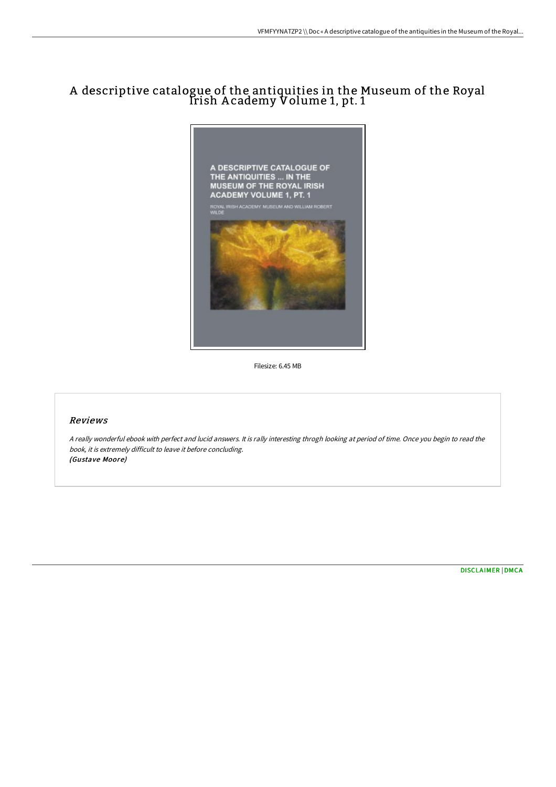# A descriptive catalogue of the antiquities in the Museum of the Royal Irish A cademy Volume 1, pt. 1



Filesize: 6.45 MB

### Reviews

<sup>A</sup> really wonderful ebook with perfect and lucid answers. It is rally interesting throgh looking at period of time. Once you begin to read the book, it is extremely difficult to leave it before concluding. (Gustave Moore)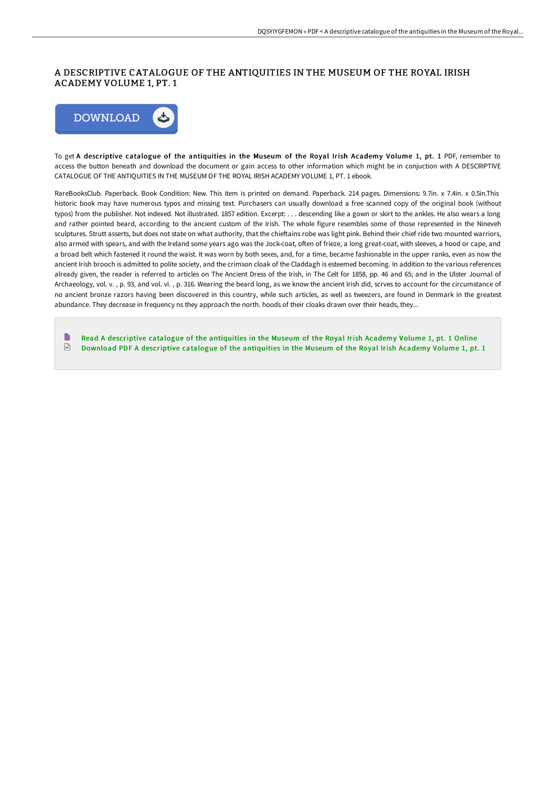# A DESCRIPTIVE CATALOGUE OF THE ANTIQUITIES IN THE MUSEUM OF THE ROYAL IRISH ACADEMY VOLUME 1, PT. 1



To get A descriptive catalogue of the antiquities in the Museum of the Royal Irish Academy Volume 1, pt. 1 PDF, remember to access the button beneath and download the document or gain access to other information which might be in conjuction with A DESCRIPTIVE CATALOGUE OF THE ANTIQUITIES IN THE MUSEUM OF THE ROYAL IRISH ACADEMY VOLUME 1, PT. 1 ebook.

RareBooksClub. Paperback. Book Condition: New. This item is printed on demand. Paperback. 214 pages. Dimensions: 9.7in. x 7.4in. x 0.5in.This historic book may have numerous typos and missing text. Purchasers can usually download a free scanned copy of the original book (without typos) from the publisher. Not indexed. Not illustrated. 1857 edition. Excerpt: . . . descending like a gown or skirt to the ankles. He also wears a long and rather pointed beard, according to the ancient custom of the Irish. The whole figure resembles some of those represented in the Nineveh sculptures. Strutt asserts, but does not state on what authority, that the chieftains robe was light pink. Behind their chief ride two mounted warriors, also armed with spears, and with the Ireland some years ago was the Jock-coat, often of frieze, a long great-coat, with sleeves, a hood or cape, and a broad belt which fastened it round the waist. It was worn by both sexes, and, for a time, became fashionable in the upper ranks, even as now the ancient Irish brooch is admitted to polite society, and the crimson cloak of the Claddagh is esteemed becoming. In addition to the various references already given, the reader is referred to articles on The Ancient Dress of the Irish, in The Celt for 1858, pp. 46 and 65; and in the Ulster Journal of Archaeology, vol. v. , p. 93, and vol. vi. , p. 316. Wearing the beard long, as we know the ancient Irish did, scrves to account for the circumstance of no ancient bronze razors having been discovered in this country, while such articles, as well as tweezers, are found in Denmark in the greatest abundance. They decrease in frequency ns they approach the north. hoods of their cloaks drawn over their heads, they...

B Read A [descriptive](http://albedo.media/a-descriptive-catalogue-of-the-antiquities-in-th.html) catalogue of the antiquities in the Museum of the Royal Irish Academy Volume 1, pt. 1 Online  $\begin{array}{|c|} \hline \textbf{p} \textbf{p} \textbf{p} \textbf{p} \textbf{p} \textbf{p} \textbf{p} \textbf{p} \textbf{p} \textbf{p} \textbf{p} \textbf{p} \textbf{p} \textbf{p} \textbf{p} \textbf{p} \textbf{p} \textbf{p} \textbf{p} \textbf{p} \textbf{p} \textbf{p} \textbf{p} \textbf{p} \textbf{p} \textbf{p} \textbf{p} \textbf{p} \textbf{p} \textbf{p} \textbf{p} \textbf{p} \textbf{p} \textbf{p} \textbf{$ Download PDF A [descriptive](http://albedo.media/a-descriptive-catalogue-of-the-antiquities-in-th.html) catalogue of the antiquities in the Museum of the Royal Irish Academy Volume 1, pt. 1